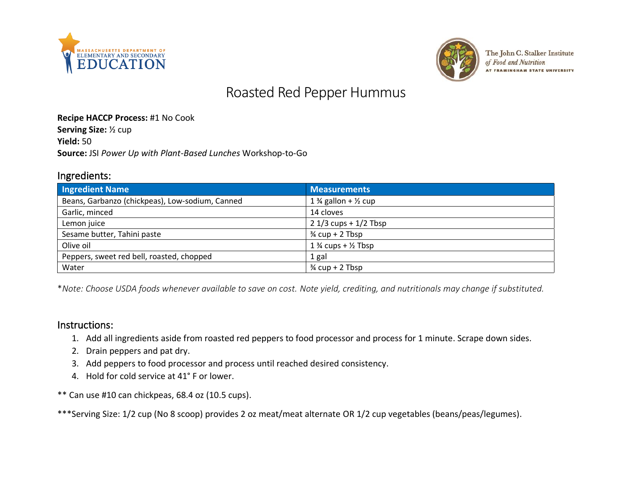



The John C. Stalker Institute of Food and Nutrition **AT FRAMINGHAM STATE UNIVERSITY** 

# Roasted Red Pepper Hummus

#### **Recipe HACCP Process:** #1 No Cook

**Serving Size:** ½ cup

**Yield:** 50

**Source:** JSI *Power Up with Plant-Based Lunches* Workshop-to-Go

#### Ingredients:

| <b>Ingredient Name</b>                          | <b>Measurements</b>                        |
|-------------------------------------------------|--------------------------------------------|
| Beans, Garbanzo (chickpeas), Low-sodium, Canned | 1 $\frac{3}{4}$ gallon + $\frac{1}{2}$ cup |
| Garlic, minced                                  | 14 cloves                                  |
| Lemon juice                                     | $21/3$ cups + $1/2$ Tbsp                   |
| Sesame butter, Tahini paste                     | $\frac{3}{4}$ cup + 2 Tbsp                 |
| Olive oil                                       | 1 $\frac{3}{4}$ cups + $\frac{1}{2}$ Tbsp  |
| Peppers, sweet red bell, roasted, chopped       | 1 gal                                      |
| Water                                           | $\frac{3}{4}$ cup + 2 Tbsp                 |

\**Note: Choose USDA foods whenever available to save on cost. Note yield, crediting, and nutritionals may change if substituted.*

#### Instructions:

- 1. Add all ingredients aside from roasted red peppers to food processor and process for 1 minute. Scrape down sides.
- 2. Drain peppers and pat dry.
- 3. Add peppers to food processor and process until reached desired consistency.
- 4. Hold for cold service at 41° F or lower.
- \*\* Can use #10 can chickpeas, 68.4 oz (10.5 cups).

\*\*\*Serving Size: 1/2 cup (No 8 scoop) provides 2 oz meat/meat alternate OR 1/2 cup vegetables (beans/peas/legumes).